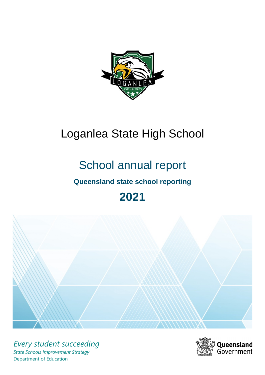

# Loganlea State High School

# School annual report

# **Queensland state school reporting**

# **2021**



*Every student succeeding State Schools Improvement Strategy* Department of Education

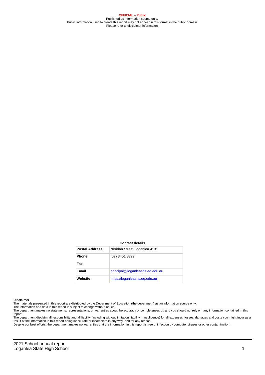**OFFICIAL – Public** Published as information source only. Public information used to create this report may not appear in this format in the public domain Please refer to disclaimer information.

#### **Contact details**

| <b>Postal Address</b> | Neridah Street Loganlea 4131    |
|-----------------------|---------------------------------|
| <b>Phone</b>          | (07) 3451 8777                  |
| Fax                   |                                 |
| <b>Email</b>          | principal@loganleashs.eg.edu.au |
| Website               | https://loganleashs.eg.edu.au   |

#### **Disclaimer**

The materials presented in this report are distributed by the Department of Education (the department) as an information source only.

The information and data in this report is subject to change without notice.<br>The department makes no statements, representations, or warranties about the accuracy or completeness of, and you should not rely on, any informa report. The department disclaim all responsibility and all liability (including without limitation, liability in negligence) for all expenses, losses, damages and costs you might incur as a

result of the information in this report being inaccurate or incomplete in any way, and for any reason.

Despite our best efforts, the department makes no warranties that the information in this report is free of infection by computer viruses or other contamination.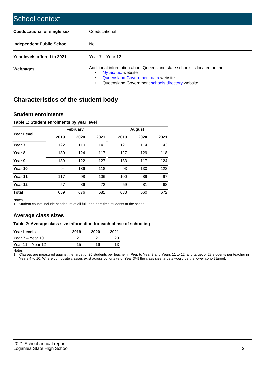| School context                     |                                                                                                                                                                                                   |
|------------------------------------|---------------------------------------------------------------------------------------------------------------------------------------------------------------------------------------------------|
| <b>Coeducational or single sex</b> | Coeducational                                                                                                                                                                                     |
| Independent Public School          | No.                                                                                                                                                                                               |
| Year levels offered in 2021        | Year $7 -$ Year 12                                                                                                                                                                                |
| Webpages                           | Additional information about Queensland state schools is located on the:<br>My School website<br>٠<br>Queensland Government data website<br>Queensland Government schools directory website.<br>٠ |

# **Characteristics of the student body**

## **Student enrolments**

## **Table 1: Student enrolments by year level**

|                   |      | <b>February</b> |      |      | <b>August</b> |      |
|-------------------|------|-----------------|------|------|---------------|------|
| <b>Year Level</b> | 2019 | 2020            | 2021 | 2019 | 2020          | 2021 |
| Year <sub>7</sub> | 122  | 110             | 141  | 121  | 114           | 143  |
| Year <sub>8</sub> | 130  | 124             | 117  | 127  | 129           | 118  |
| Year 9            | 139  | 122             | 127  | 133  | 117           | 124  |
| Year 10           | 94   | 136             | 118  | 93   | 130           | 122  |
| Year 11           | 117  | 98              | 106  | 100  | 89            | 97   |
| Year 12           | 57   | 86              | 72   | 59   | 81            | 68   |
| <b>Total</b>      | 659  | 676             | 681  | 633  | 660           | 672  |

Notes

1. Student counts include headcount of all full- and part-time students at the school.

# **Average class sizes**

### **Table 2: Average class size information for each phase of schooling**

| <b>Year Levels</b> | 2019 | 2020 | 2021 |
|--------------------|------|------|------|
| Year 7 – Year 10   | 21   |      |      |
| Year 11 – Year 12  | 15   | 16   |      |

Notes

1. Classes are measured against the target of 25 students per teacher in Prep to Year 3 and Years 11 to 12, and target of 28 students per teacher in Years 4 to 10. Where composite classes exist across cohorts (e.g. Year 3/4) the class size targets would be the lower cohort target.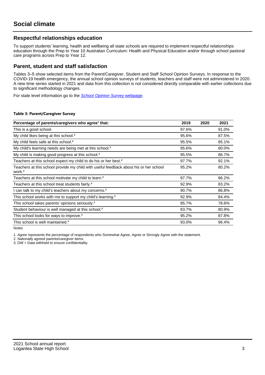# **Respectful relationships education**

To support students' learning, health and wellbeing all state schools are required to implement respectful relationships education through the Prep to Year 10 Australian Curriculum: Health and Physical Education and/or through school pastoral care programs across Prep to Year 12.

## **Parent, student and staff satisfaction**

Tables 3–5 show selected items from the Parent/Caregiver, Student and Staff School Opinion Surveys. In response to the COVID-19 health emergency, the annual school opinion surveys of students, teachers and staff were not administered in 2020. A new time series started in 2021 and data from this collection is not considered directly comparable with earlier collections due to significant methodology changes.

For state level information go to the **[School Opinion Survey](https://qed.qld.gov.au/publications/reports/statistics/schooling/schools/schoolopinionsurvey) webpage**.

### **Table 3: Parent/Caregiver Survey**

| Percentage of parents/caregivers who agree <sup>1</sup> that:                                               | 2019  | 2020 | 2021  |
|-------------------------------------------------------------------------------------------------------------|-------|------|-------|
| This is a good school.                                                                                      | 97.6% |      | 91.0% |
| My child likes being at this school. <sup>2</sup>                                                           | 95.6% |      | 87.5% |
| My child feels safe at this school. <sup>2</sup>                                                            | 95.5% |      | 85.1% |
| My child's learning needs are being met at this school. <sup>2</sup>                                        | 95.6% |      | 80.0% |
| My child is making good progress at this school. <sup>2</sup>                                               | 95.5% |      | 86.7% |
| Teachers at this school expect my child to do his or her best. <sup>2</sup>                                 | 97.7% |      | 92.1% |
| Teachers at this school provide my child with useful feedback about his or her school<br>work. <sup>2</sup> | 95.2% |      | 80.2% |
| Teachers at this school motivate my child to learn. <sup>2</sup>                                            | 97.7% |      | 86.2% |
| Teachers at this school treat students fairly. <sup>2</sup>                                                 | 92.9% |      | 83.2% |
| can talk to my child's teachers about my concerns. <sup>2</sup>                                             | 90.7% |      | 86.8% |
| This school works with me to support my child's learning. <sup>2</sup>                                      | 92.9% |      | 84.4% |
| This school takes parents' opinions seriously. <sup>2</sup>                                                 | 85.7% |      | 78.6% |
| Student behaviour is well managed at this school. <sup>2</sup>                                              | 83.7% |      | 80.9% |
| This school looks for ways to improve. <sup>2</sup>                                                         | 95.2% |      | 87.8% |
| This school is well maintained. <sup>2</sup>                                                                | 93.0% |      | 96.4% |

Notes

1. Agree represents the percentage of respondents who Somewhat Agree, Agree or Strongly Agree with the statement.

2. Nationally agreed parents/caregiver items.

3. DW = Data withheld to ensure confidentiality.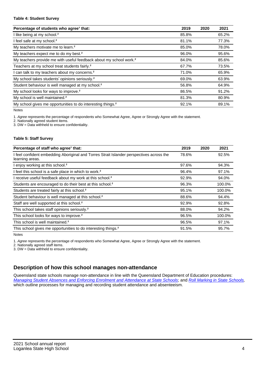### **Table 4: Student Survey**

| Percentage of students who agree <sup>1</sup> that:                            | 2019  | 2020 | 2021  |
|--------------------------------------------------------------------------------|-------|------|-------|
| I like being at my school. <sup>2</sup>                                        | 85.8% |      | 65.2% |
| I feel safe at my school. <sup>2</sup>                                         | 81.1% |      | 77.3% |
| My teachers motivate me to learn. <sup>2</sup>                                 | 85.0% |      | 78.0% |
| My teachers expect me to do my best. <sup>2</sup>                              | 96.0% |      | 95.6% |
| My teachers provide me with useful feedback about my school work. <sup>2</sup> | 84.0% |      | 85.6% |
| Teachers at my school treat students fairly. <sup>2</sup>                      | 67.7% |      | 73.5% |
| I can talk to my teachers about my concerns. <sup>2</sup>                      | 71.0% |      | 65.9% |
| My school takes students' opinions seriously. <sup>2</sup>                     | 69.0% |      | 63.9% |
| Student behaviour is well managed at my school. <sup>2</sup>                   | 56.8% |      | 64.9% |
| My school looks for ways to improve. <sup>2</sup>                              | 86.5% |      | 91.2% |
| My school is well maintained. <sup>2</sup>                                     | 81.3% |      | 80.9% |
| My school gives me opportunities to do interesting things. <sup>2</sup>        | 92.1% |      | 89.1% |

Notes

1. Agree represents the percentage of respondents who Somewhat Agree, Agree or Strongly Agree with the statement.

2. Nationally agreed student items.

3. DW = Data withheld to ensure confidentiality.

## **Table 5: Staff Survey**

| Percentage of staff who agree <sup>1</sup> that:                                                            | 2019  | 2020 | 2021   |
|-------------------------------------------------------------------------------------------------------------|-------|------|--------|
| I feel confident embedding Aboriginal and Torres Strait Islander perspectives across the<br>learning areas. | 78.6% |      | 92.5%  |
| I enjoy working at this school. <sup>2</sup>                                                                | 97.6% |      | 94.3%  |
| I feel this school is a safe place in which to work. <sup>2</sup>                                           | 96.4% |      | 97.1%  |
| I receive useful feedback about my work at this school. <sup>2</sup>                                        | 92.9% |      | 94.0%  |
| Students are encouraged to do their best at this school. <sup>2</sup>                                       | 96.3% |      | 100.0% |
| Students are treated fairly at this school. <sup>2</sup>                                                    | 95.1% |      | 100.0% |
| Student behaviour is well managed at this school. <sup>2</sup>                                              | 88.6% |      | 94.4%  |
| Staff are well supported at this school. <sup>2</sup>                                                       | 92.9% |      | 92.8%  |
| This school takes staff opinions seriously. <sup>2</sup>                                                    | 88.0% |      | 94.2%  |
| This school looks for ways to improve. <sup>2</sup>                                                         | 96.5% |      | 100.0% |
| This school is well maintained. <sup>2</sup>                                                                | 96.5% |      | 97.1%  |
| This school gives me opportunities to do interesting things. <sup>2</sup>                                   | 91.5% |      | 95.7%  |

Notes

1. Agree represents the percentage of respondents who Somewhat Agree, Agree or Strongly Agree with the statement.

2. Nationally agreed staff items.

3. DW = Data withheld to ensure confidentiality.

# **Description of how this school manages non-attendance**

Queensland state schools manage non-attendance in line with the Queensland Department of Education procedures: [Managing Student Absences and Enforcing Enrolment and Attendance at State Schools](https://ppr.qed.qld.gov.au/pp/managing-student-absences-and-enforcing-enrolment-and-attendance-at-state-schools-procedure); and [Roll Marking in State Schools,](https://ppr.qed.qld.gov.au/pp/roll-marking-in-state-schools-procedure) which outline processes for managing and recording student attendance and absenteeism.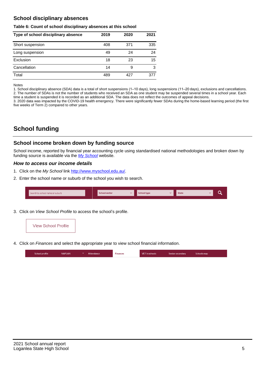# **School disciplinary absences**

### **Table 6: Count of school disciplinary absences at this school**

| Type of school disciplinary absence | 2019 | 2020 | 2021 |
|-------------------------------------|------|------|------|
| Short suspension                    | 408  | 371  | 335  |
| Long suspension                     | 49   | 24   | 24   |
| Exclusion                           | 18   | 23   | 15   |
| Cancellation                        | 14   | 9    | 3    |
| Total                               | 489  | 427  | 377  |

Notes

1. School disciplinary absence (SDA) data is a total of short suspensions (1–10 days), long suspensions (11–20 days), exclusions and cancellations. 2. The number of SDAs is not the number of students who received an SDA as one student may be suspended several times in a school year. Each time a student is suspended it is recorded as an additional SDA. The data does not reflect the outcomes of appeal decisions.

3. 2020 data was impacted by the COVID-19 health emergency. There were significantly fewer SDAs during the home-based learning period (the first five weeks of Term 2) compared to other years.

# **School funding**

## **School income broken down by funding source**

School income, reported by financial year accounting cycle using standardised national methodologies and broken down by funding source is available via the [My School](http://www.myschool.edu.au/) website.

## **How to access our income details**

- 1. Click on the My School link <http://www.myschool.edu.au/>.
- 2. Enter the school name or suburb of the school you wish to search.

| Search by school name or suburb | <b>School sector</b> | School type | <b>State</b> |  |
|---------------------------------|----------------------|-------------|--------------|--|
|                                 |                      |             |              |  |

3. Click on View School Profile to access the school's profile.



4. Click on Finances and select the appropriate year to view school financial information.

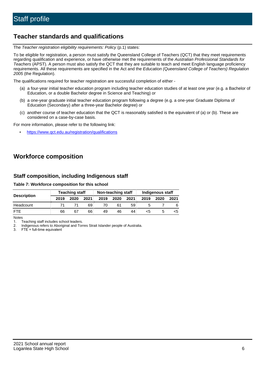# **Teacher standards and qualifications**

The Teacher registration eligibility requirements: Policy (p.1) states:

To be eligible for registration, a person must satisfy the Queensland College of Teachers (QCT) that they meet requirements regarding qualification and experience, or have otherwise met the requirements of the Australian Professional Standards for Teachers (APST). A person must also satisfy the QCT that they are suitable to teach and meet English language proficiency requirements. All these requirements are specified in the Act and the Education (Queensland College of Teachers) Regulation 2005 (the Regulation).

The qualifications required for teacher registration are successful completion of either -

- (a) a four-year initial teacher education program including teacher education studies of at least one year (e.g. a Bachelor of Education, or a double Bachelor degree in Science and Teaching) or
- (b) a one-year graduate initial teacher education program following a degree (e.g. a one-year Graduate Diploma of Education (Secondary) after a three-year Bachelor degree) or
- (c) another course of teacher education that the QCT is reasonably satisfied is the equivalent of (a) or (b). These are considered on a case-by-case basis.

For more information, please refer to the following link:

• <https://www.qct.edu.au/registration/qualifications>

# **Workforce composition**

# **Staff composition, including Indigenous staff**

## **Table 7: Workforce composition for this school**

|                    | <b>Teaching staff</b> |      |      | Non-teaching staff |      |      | Indigenous staff |      |      |
|--------------------|-----------------------|------|------|--------------------|------|------|------------------|------|------|
| <b>Description</b> | 2019                  | 2020 | 2021 | 2019               | 2020 | 2021 | 2019             | 2020 | 2021 |
| Headcount          |                       |      | 69   | 70                 | 61   | 59   |                  |      |      |
| <b>FTF</b>         | 66                    | 67   | 66   | 49                 | 46   | 44   | ה>               |      |      |

Notes

1. Teaching staff includes school leaders.

2. Indigenous refers to Aboriginal and Torres Strait Islander people of Australia.

3. FTE = full-time equivalent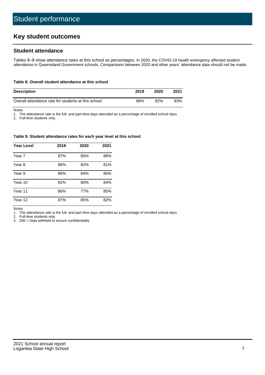# **Key student outcomes**

# **Student attendance**

Tables 8–9 show attendance rates at this school as percentages. In 2020, the COVID-19 health emergency affected student attendance in Queensland Government schools. Comparisons between 2020 and other years' attendance data should not be made.

#### **Table 8: Overall student attendance at this school**

| <b>Description</b>                                  | 2019 | 2020 | 2021 |
|-----------------------------------------------------|------|------|------|
| Overall attendance rate for students at this school | 86%  | 82%  | 83%  |

Notes

1. The attendance rate is the full- and part-time days attended as a percentage of enrolled school days.

2. Full-time students only.

#### **Table 9: Student attendance rates for each year level at this school**

| <b>Year Level</b> | 2019 | 2020 | 2021 |
|-------------------|------|------|------|
| Year 7            | 87%  | 85%  | 88%  |
| Year 8            | 86%  | 82%  | 81%  |
| Year 9            | 86%  | 84%  | 80%  |
| Year 10           | 82%  | 80%  | 84%  |
| Year 11           | 86%  | 77%  | 85%  |
| Year 12           | 87%  | 85%  | 82%  |

Notes

1. The attendance rate is the full- and part-time days attended as a percentage of enrolled school days.

2. Full-time students only.

3. DW = Data withheld to ensure confidentiality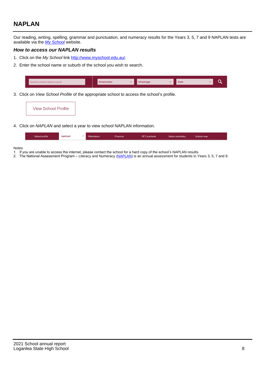# **NAPLAN**

Our reading, writing, spelling, grammar and punctuation, and numeracy results for the Years 3, 5, 7 and 9 NAPLAN tests are available via the [My School](http://www.myschool.edu.au/) website.

## **How to access our NAPLAN results**

- 1. Click on the My School link <http://www.myschool.edu.au/>.
- 2. Enter the school name or suburb of the school you wish to search.

| Search by school name or suburb |  | <b>School sector</b> |  | <b>School type</b>                        |          | <b>State</b> |  |  |
|---------------------------------|--|----------------------|--|-------------------------------------------|----------|--------------|--|--|
|                                 |  |                      |  |                                           |          |              |  |  |
|                                 |  |                      |  | $\sim$ $\sim$ $\sim$ $\sim$ $\sim$ $\sim$ | $\cdots$ |              |  |  |

3. Click on View School Profile of the appropriate school to access the school's profile.

| <b>View School Profile</b> |
|----------------------------|
|----------------------------|

4. Click on NAPLAN and select a year to view school NAPLAN information.

|  | School profile | <b>NAPLAN</b> | $\sim$ 100 $\sim$ | Attendance | <b>Finances</b> | <b>VET</b> in schools | Senior secondary | Schools map |  |
|--|----------------|---------------|-------------------|------------|-----------------|-----------------------|------------------|-------------|--|
|--|----------------|---------------|-------------------|------------|-----------------|-----------------------|------------------|-------------|--|

#### Notes

- 1. If you are unable to access the internet, please contact the school for a hard copy of the school's NAPLAN results.
- 2. The National Assessment Program Literacy and Numeracy ([NAPLAN\)](http://www.nap.edu.au/naplan) is an annual assessment for students in Years 3, 5, 7 and 9.